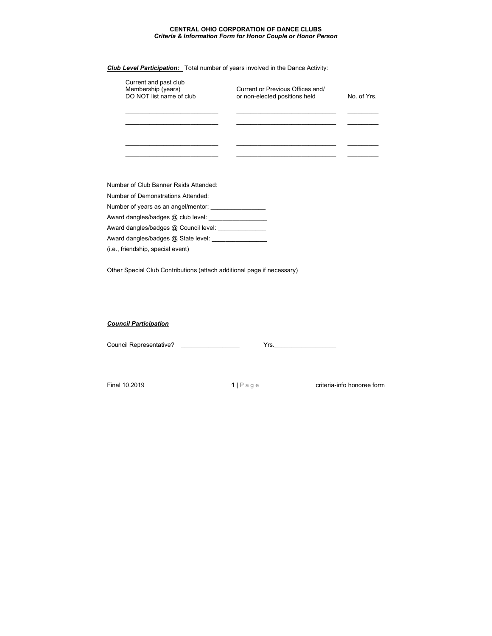## **CENTRAL OHIO CORPORATION OF DANCE CLUBS** *Criteria & Information Form for Honor Couple or Honor Person*

|                                                                         | <b>Club Level Participation:</b> Total number of years involved in the Dance Activity: |           |
|-------------------------------------------------------------------------|----------------------------------------------------------------------------------------|-----------|
| Current and past club<br>Membership (years)<br>DO NOT list name of club | Current or Previous Offices and/<br>or non-elected positions held                      | No of Yrs |
|                                                                         |                                                                                        |           |
|                                                                         |                                                                                        |           |
|                                                                         |                                                                                        |           |

Number of Club Banner Raids Attended: \_\_\_\_\_\_\_\_\_\_\_\_\_\_ Number of Demonstrations Attended: \_\_\_\_\_\_\_\_\_\_\_\_\_\_\_\_

Number of years as an angel/mentor: \_\_\_\_\_\_\_\_\_\_\_\_\_\_\_\_

Award dangles/badges @ club level: \_\_\_\_\_\_\_\_\_\_\_\_\_\_\_\_\_

Award dangles/badges @ Council level: \_\_\_\_\_\_\_\_\_\_\_\_\_\_\_

Award dangles/badges @ State level: \_\_\_\_\_\_\_\_\_\_\_\_\_\_\_\_\_\_

(i.e., friendship, special event)

Other Special Club Contributions (attach additional page if necessary)

## *Council Participation*

Council Representative? \_\_\_\_\_\_\_\_\_\_\_\_\_\_\_\_\_ Yrs.\_\_\_\_\_\_\_\_\_\_\_\_\_\_\_\_\_\_

Final 10.2019 **1** | P a g e criteria-info honoree form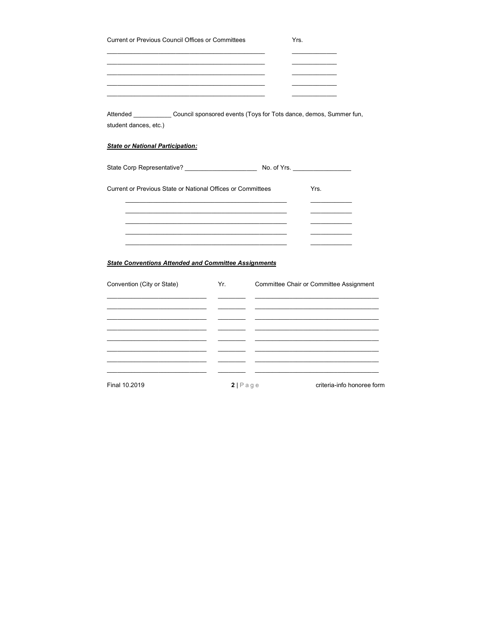| Current or Previous Council Offices or Committees                                                                  |                             | Yrs.<br>the company of the company of       |
|--------------------------------------------------------------------------------------------------------------------|-----------------------------|---------------------------------------------|
| Attended _______________Council sponsored events (Toys for Tots dance, demos, Summer fun,<br>student dances, etc.) |                             |                                             |
| <b>State or National Participation:</b>                                                                            |                             |                                             |
|                                                                                                                    |                             |                                             |
| Current or Previous State or National Offices or Committees                                                        |                             | Yrs.                                        |
| <b>State Conventions Attended and Committee Assignments</b>                                                        |                             |                                             |
| Convention (City or State)                                                                                         | and the control of the con- | Yr. Committee Chair or Committee Assignment |
|                                                                                                                    |                             |                                             |

 $\frac{1}{2}$  –

 $\overline{\phantom{0}}$  $\overline{\phantom{a}}$ 

 $\overline{\phantom{a}}$ 

 $\overline{\phantom{a}}$ 

 $\overline{\phantom{a}}$ 

- -

Final 10.2019

 $\frac{1}{2}$ 

2 | P a g e criteria-info honoree form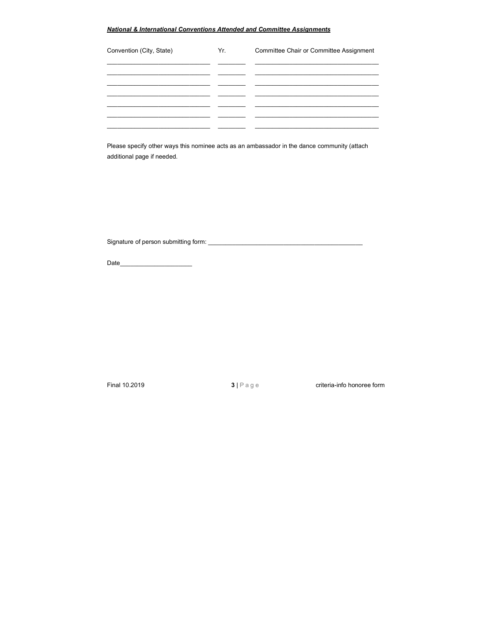## *National & International Conventions Attended and Committee Assignments*

| Convention (City, State) | Yr. | Committee Chair or Committee Assignment |
|--------------------------|-----|-----------------------------------------|
|                          |     |                                         |
|                          |     |                                         |
|                          |     |                                         |
|                          |     |                                         |
|                          |     |                                         |

Please specify other ways this nominee acts as an ambassador in the dance community (attach additional page if needed.

Signature of person submitting form: \_\_\_\_\_\_\_\_\_\_\_\_\_\_\_\_\_\_\_\_\_\_\_\_\_\_\_\_\_\_\_\_\_\_\_\_\_\_\_\_\_\_\_\_\_

Date\_\_\_\_\_\_\_\_\_\_\_\_\_\_\_\_\_\_\_\_\_

Final 10.2019 **3** | P a g e criteria-info honoree form